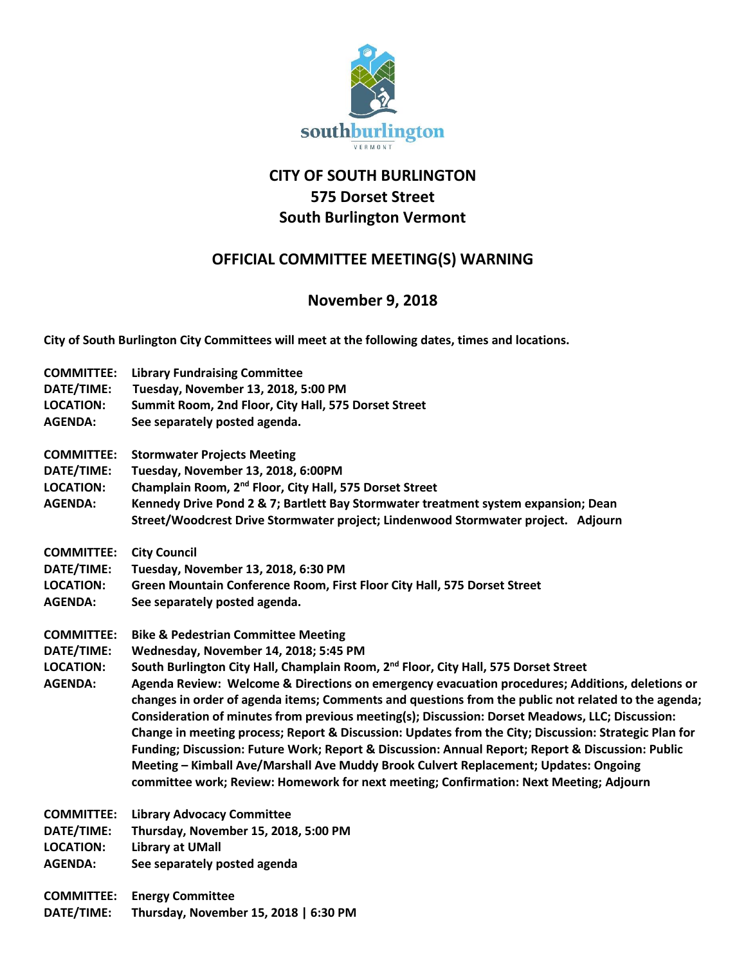

## **CITY OF SOUTH BURLINGTON 575 Dorset Street South Burlington Vermont**

## **OFFICIAL COMMITTEE MEETING(S) WARNING**

## **November 9, 2018**

**City of South Burlington City Committees will meet at the following dates, times and locations.** 

| <b>COMMITTEE:</b> | <b>Library Fundraising Committee</b>                                                                  |
|-------------------|-------------------------------------------------------------------------------------------------------|
| DATE/TIME:        | Tuesday, November 13, 2018, 5:00 PM                                                                   |
| <b>LOCATION:</b>  | Summit Room, 2nd Floor, City Hall, 575 Dorset Street                                                  |
| <b>AGENDA:</b>    | See separately posted agenda.                                                                         |
| <b>COMMITTEE:</b> | <b>Stormwater Projects Meeting</b>                                                                    |
| DATE/TIME:        | Tuesday, November 13, 2018, 6:00PM                                                                    |
| <b>LOCATION:</b>  | Champlain Room, 2 <sup>nd</sup> Floor, City Hall, 575 Dorset Street                                   |
| <b>AGENDA:</b>    | Kennedy Drive Pond 2 & 7; Bartlett Bay Stormwater treatment system expansion; Dean                    |
|                   | Street/Woodcrest Drive Stormwater project; Lindenwood Stormwater project. Adjourn                     |
| <b>COMMITTEE:</b> | <b>City Council</b>                                                                                   |
| DATE/TIME:        | Tuesday, November 13, 2018, 6:30 PM                                                                   |
| <b>LOCATION:</b>  | Green Mountain Conference Room, First Floor City Hall, 575 Dorset Street                              |
| <b>AGENDA:</b>    | See separately posted agenda.                                                                         |
| <b>COMMITTEE:</b> | <b>Bike &amp; Pedestrian Committee Meeting</b>                                                        |
| DATE/TIME:        | Wednesday, November 14, 2018; 5:45 PM                                                                 |
| <b>LOCATION:</b>  | South Burlington City Hall, Champlain Room, 2 <sup>nd</sup> Floor, City Hall, 575 Dorset Street       |
| <b>AGENDA:</b>    | Agenda Review: Welcome & Directions on emergency evacuation procedures; Additions, deletions or       |
|                   | changes in order of agenda items; Comments and questions from the public not related to the agenda;   |
|                   | Consideration of minutes from previous meeting(s); Discussion: Dorset Meadows, LLC; Discussion:       |
|                   | Change in meeting process; Report & Discussion: Updates from the City; Discussion: Strategic Plan for |
|                   | Funding; Discussion: Future Work; Report & Discussion: Annual Report; Report & Discussion: Public     |
|                   | Meeting - Kimball Ave/Marshall Ave Muddy Brook Culvert Replacement; Updates: Ongoing                  |
|                   | committee work; Review: Homework for next meeting; Confirmation: Next Meeting; Adjourn                |
| <b>COMMITTEE:</b> | <b>Library Advocacy Committee</b>                                                                     |
| DATE/TIME:        | Thursday, November 15, 2018, 5:00 PM                                                                  |
| <b>LOCATION:</b>  | <b>Library at UMall</b>                                                                               |
| <b>AGENDA:</b>    | See separately posted agenda                                                                          |
| <b>COMMITTEE:</b> | <b>Energy Committee</b>                                                                               |
| DATE/TIME:        | Thursday, November 15, 2018   6:30 PM                                                                 |